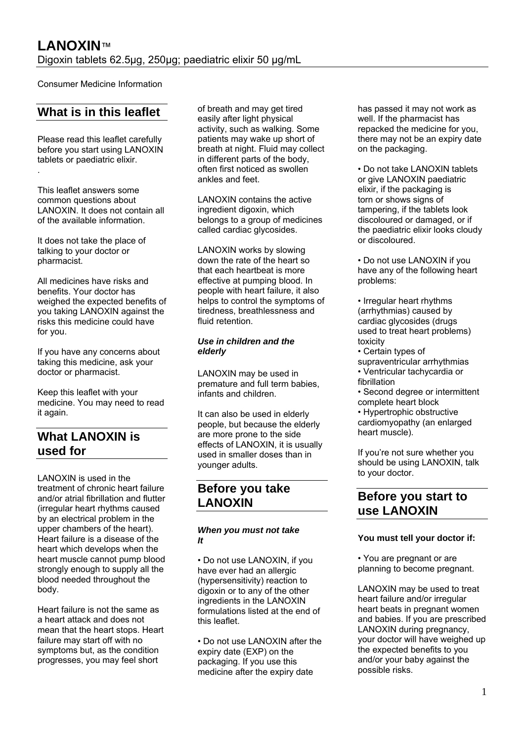Consumer Medicine Information

# **What is in this leaflet**

Please read this leaflet carefully before you start using LANOXIN tablets or paediatric elixir. .

This leaflet answers some common questions about LANOXIN. It does not contain all of the available information.

It does not take the place of talking to your doctor or pharmacist.

All medicines have risks and benefits. Your doctor has weighed the expected benefits of you taking LANOXIN against the risks this medicine could have for you.

If you have any concerns about taking this medicine, ask your doctor or pharmacist.

Keep this leaflet with your medicine. You may need to read it again.

# **What LANOXIN is used for**

LANOXIN is used in the treatment of chronic heart failure and/or atrial fibrillation and flutter (irregular heart rhythms caused by an electrical problem in the upper chambers of the heart). Heart failure is a disease of the heart which develops when the heart muscle cannot pump blood strongly enough to supply all the blood needed throughout the body.

Heart failure is not the same as a heart attack and does not mean that the heart stops. Heart failure may start off with no symptoms but, as the condition progresses, you may feel short

of breath and may get tired easily after light physical activity, such as walking. Some patients may wake up short of breath at night. Fluid may collect in different parts of the body, often first noticed as swollen ankles and feet.

LANOXIN contains the active ingredient digoxin, which belongs to a group of medicines called cardiac glycosides.

LANOXIN works by slowing down the rate of the heart so that each heartbeat is more effective at pumping blood. In people with heart failure, it also helps to control the symptoms of tiredness, breathlessness and fluid retention.

### *Use in children and the elderly*

LANOXIN may be used in premature and full term babies, infants and children.

It can also be used in elderly people, but because the elderly are more prone to the side effects of LANOXIN, it is usually used in smaller doses than in younger adults.

# **Before you take LANOXIN**

### *When you must not take It*

• Do not use LANOXIN, if you have ever had an allergic (hypersensitivity) reaction to digoxin or to any of the other ingredients in the LANOXIN formulations listed at the end of this leaflet.

• Do not use LANOXIN after the expiry date (EXP) on the packaging. If you use this medicine after the expiry date

has passed it may not work as well. If the pharmacist has repacked the medicine for you, there may not be an expiry date on the packaging.

• Do not take LANOXIN tablets or give LANOXIN paediatric elixir, if the packaging is torn or shows signs of tampering, if the tablets look discoloured or damaged, or if the paediatric elixir looks cloudy or discoloured.

• Do not use LANOXIN if you have any of the following heart problems:

- Irregular heart rhythms (arrhythmias) caused by cardiac glycosides (drugs used to treat heart problems) toxicity
- Certain types of supraventricular arrhythmias • Ventricular tachycardia or fibrillation
- Second degree or intermittent complete heart block

• Hypertrophic obstructive cardiomyopathy (an enlarged heart muscle).

If you're not sure whether you should be using LANOXIN, talk to your doctor.

# **Before you start to use LANOXIN**

### **You must tell your doctor if:**

• You are pregnant or are planning to become pregnant.

LANOXIN may be used to treat heart failure and/or irregular heart beats in pregnant women and babies. If you are prescribed LANOXIN during pregnancy, your doctor will have weighed up the expected benefits to you and/or your baby against the possible risks.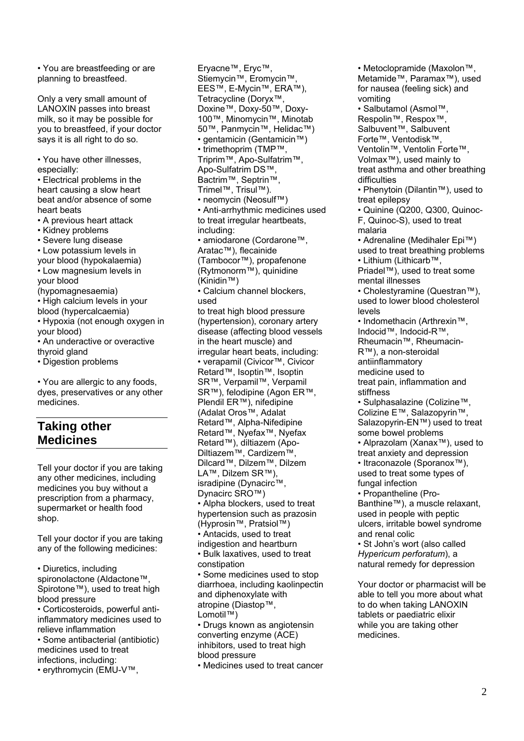• You are breastfeeding or are planning to breastfeed.

Only a very small amount of LANOXIN passes into breast milk, so it may be possible for you to breastfeed, if your doctor says it is all right to do so.

• You have other illnesses, especially:

• Electrical problems in the heart causing a slow heart beat and/or absence of some heart beats

- A previous heart attack
- Kidney problems
- Severe lung disease
- Low potassium levels in

your blood (hypokalaemia) • Low magnesium levels in your blood (hypomagnesaemia) • High calcium levels in your blood (hypercalcaemia)

• Hypoxia (not enough oxygen in your blood)

• An underactive or overactive thyroid gland

• Digestion problems

• You are allergic to any foods, dyes, preservatives or any other medicines.

# **Taking other Medicines**

Tell your doctor if you are taking any other medicines, including medicines you buy without a prescription from a pharmacy, supermarket or health food shop.

Tell your doctor if you are taking any of the following medicines:

• Diuretics, including spironolactone (Aldactone™, Spirotone™), used to treat high blood pressure

• Corticosteroids, powerful antiinflammatory medicines used to relieve inflammation

• Some antibacterial (antibiotic) medicines used to treat infections, including:

• erythromycin (EMU-V™,

Eryacne™, Eryc™, Stiemycin™, Eromycin™, EES™, E-Mycin™, ERA™), Tetracycline (Doryx™, Doxine™, Doxy-50™, Doxy-100™, Minomycin™, Minotab 50™, Panmycin™, Helidac™) • gentamicin (Gentamicin™) • trimethoprim (TMP™, Triprim™, Apo-Sulfatrim™, Apo-Sulfatrim DS™, Bactrim™, Septrin™, Trimel™, Trisul™). • neomycin (Neosulf™) • Anti-arrhythmic medicines used to treat irregular heartbeats, including: • amiodarone (Cordarone™, Aratac™), flecainide (Tambocor™), propafenone (Rytmonorm™), quinidine (Kinidin™) • Calcium channel blockers, used to treat high blood pressure (hypertension), coronary artery disease (affecting blood vessels in the heart muscle) and irregular heart beats, including: • verapamil (Civicor™, Civicor Retard™, Isoptin™, Isoptin SR™, Verpamil™, Verpamil SR™), felodipine (Agon ER™, Plendil ER™), nifedipine (Adalat Oros™, Adalat Retard™, Alpha-Nifedipine Retard™, Nyefax™, Nyefax Retard™), diltiazem (Apo-Diltiazem™, Cardizem™, Dilcard™, Dilzem™, Dilzem LA™, Dilzem SR™), isradipine (Dynacirc™, Dynacirc SRO™) • Alpha blockers, used to treat hypertension such as prazosin (Hyprosin™, Pratsiol™) • Antacids, used to treat indigestion and heartburn • Bulk laxatives, used to treat constipation • Some medicines used to stop diarrhoea, including kaolinpectin and diphenoxylate with atropine (Diastop™, Lomotil™) • Drugs known as angiotensin converting enzyme (ACE) inhibitors, used to treat high blood pressure

• Medicines used to treat cancer

• Metoclopramide (Maxolon™, Metamide™, Paramax™), used for nausea (feeling sick) and vomiting • Salbutamol (Asmol™, Respolin™, Respox™, Salbuvent™, Salbuvent Forte™, Ventodisk™, Ventolin™, Ventolin Forte™, Volmax™), used mainly to treat asthma and other breathing difficulties • Phenytoin (Dilantin™), used to treat epilepsy • Quinine (Q200, Q300, Quinoc-F, Quinoc-S), used to treat malaria • Adrenaline (Medihaler Epi™) used to treat breathing problems • Lithium (Lithicarb™, Priadel™), used to treat some mental illnesses • Cholestyramine (Questran™), used to lower blood cholesterol levels • Indomethacin (Arthrexin™, Indocid™, Indocid-R™, Rheumacin™, Rheumacin-R™), a non-steroidal antiinflammatory medicine used to treat pain, inflammation and stiffness • Sulphasalazine (Colizine™, Colizine E™, Salazopyrin™, Salazopyrin-EN™) used to treat some bowel problems • Alprazolam (Xanax™), used to treat anxiety and depression • Itraconazole (Sporanox™), used to treat some types of fungal infection • Propantheline (Pro-Banthine™), a muscle relaxant, used in people with peptic ulcers, irritable bowel syndrome and renal colic • St John's wort (also called *Hypericum perforatum*), a natural remedy for depression Your doctor or pharmacist will be able to tell you more about what to do when taking LANOXIN

tablets or paediatric elixir while you are taking other medicines.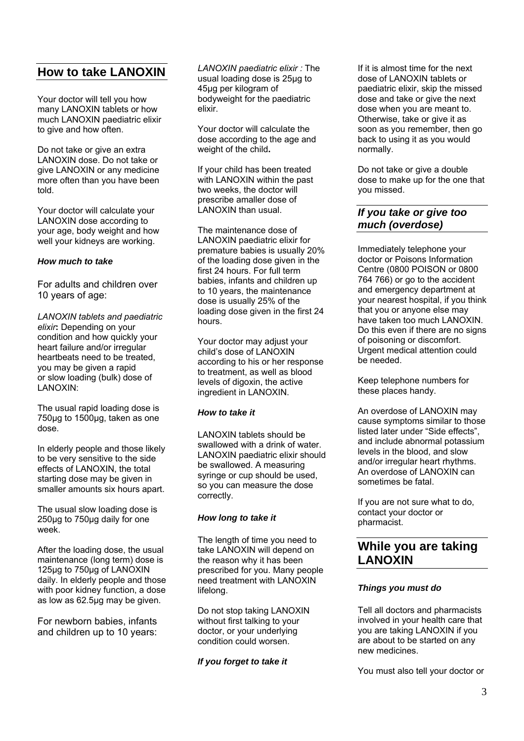# **How to take LANOXIN**

Your doctor will tell you how many LANOXIN tablets or how much LANOXIN paediatric elixir to give and how often.

Do not take or give an extra LANOXIN dose. Do not take or give LANOXIN or any medicine more often than you have been told.

Your doctor will calculate your LANOXIN dose according to your age, body weight and how well your kidneys are working.

### *How much to take*

For adults and children over 10 years of age:

*LANOXIN tablets and paediatric elixir***:** Depending on your condition and how quickly your heart failure and/or irregular heartbeats need to be treated, you may be given a rapid or slow loading (bulk) dose of LANOXIN:

The usual rapid loading dose is 750μg to 1500μg, taken as one dose.

In elderly people and those likely to be very sensitive to the side effects of LANOXIN, the total starting dose may be given in smaller amounts six hours apart.

The usual slow loading dose is 250μg to 750μg daily for one week<sup>.</sup>

After the loading dose, the usual maintenance (long term) dose is 125μg to 750μg of LANOXIN daily. In elderly people and those with poor kidney function, a dose as low as 62.5μg may be given.

For newborn babies, infants and children up to 10 years:

*LANOXIN paediatric elixir :* The usual loading dose is 25μg to 45μg per kilogram of bodyweight for the paediatric elixir.

Your doctor will calculate the dose according to the age and weight of the child**.** 

If your child has been treated with LANOXIN within the past two weeks, the doctor will prescribe amaller dose of LANOXIN than usual.

The maintenance dose of LANOXIN paediatric elixir for premature babies is usually 20% of the loading dose given in the first 24 hours. For full term babies, infants and children up to 10 years, the maintenance dose is usually 25% of the loading dose given in the first 24 hours.

Your doctor may adjust your child's dose of LANOXIN according to his or her response to treatment, as well as blood levels of digoxin, the active ingredient in LANOXIN.

# *How to take it*

LANOXIN tablets should be swallowed with a drink of water. LANOXIN paediatric elixir should be swallowed. A measuring syringe or cup should be used, so you can measure the dose correctly.

# *How long to take it*

The length of time you need to take LANOXIN will depend on the reason why it has been prescribed for you. Many people need treatment with LANOXIN lifelong.

Do not stop taking LANOXIN without first talking to your doctor, or your underlying condition could worsen.

# *If you forget to take it*

If it is almost time for the next dose of LANOXIN tablets or paediatric elixir, skip the missed dose and take or give the next dose when you are meant to. Otherwise, take or give it as soon as you remember, then go back to using it as you would normally.

Do not take or give a double dose to make up for the one that you missed.

# *If you take or give too much (overdose)*

Immediately telephone your doctor or Poisons Information Centre (0800 POISON or 0800 764 766) or go to the accident and emergency department at your nearest hospital, if you think that you or anyone else may have taken too much LANOXIN. Do this even if there are no signs of poisoning or discomfort. Urgent medical attention could be needed.

Keep telephone numbers for these places handy.

An overdose of LANOXIN may cause symptoms similar to those listed later under "Side effects", and include abnormal potassium levels in the blood, and slow and/or irregular heart rhythms. An overdose of LANOXIN can sometimes be fatal.

If you are not sure what to do, contact your doctor or pharmacist.

# **While you are taking LANOXIN**

# *Things you must do*

Tell all doctors and pharmacists involved in your health care that you are taking LANOXIN if you are about to be started on any new medicines.

You must also tell your doctor or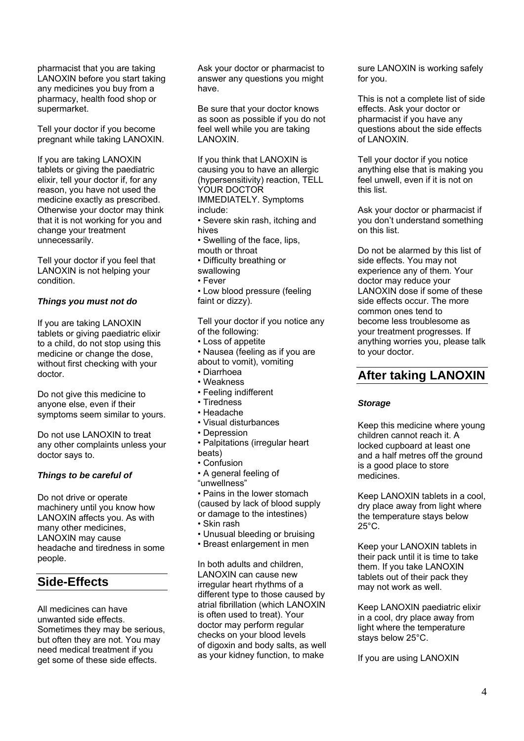pharmacist that you are taking LANOXIN before you start taking any medicines you buy from a pharmacy, health food shop or supermarket.

Tell your doctor if you become pregnant while taking LANOXIN.

If you are taking LANOXIN tablets or giving the paediatric elixir, tell your doctor if, for any reason, you have not used the medicine exactly as prescribed. Otherwise your doctor may think that it is not working for you and change your treatment unnecessarily.

Tell your doctor if you feel that LANOXIN is not helping your condition.

#### *Things you must not do*

If you are taking LANOXIN tablets or giving paediatric elixir to a child, do not stop using this medicine or change the dose, without first checking with your doctor.

Do not give this medicine to anyone else, even if their symptoms seem similar to yours.

Do not use LANOXIN to treat any other complaints unless your doctor says to.

### *Things to be careful of*

Do not drive or operate machinery until you know how LANOXIN affects you. As with many other medicines, LANOXIN may cause headache and tiredness in some people.

# **Side-Effects**

All medicines can have unwanted side effects. Sometimes they may be serious, but often they are not. You may need medical treatment if you get some of these side effects.

Ask your doctor or pharmacist to answer any questions you might have.

Be sure that your doctor knows as soon as possible if you do not feel well while you are taking LANOXIN.

If you think that LANOXIN is causing you to have an allergic (hypersensitivity) reaction, TELL YOUR DOCTOR IMMEDIATELY. Symptoms include:

• Severe skin rash, itching and hives

• Swelling of the face, lips, mouth or throat

- Difficulty breathing or
- swallowing
- Fever
- Low blood pressure (feeling faint or dizzy).

Tell your doctor if you notice any of the following:

- Loss of appetite
- Nausea (feeling as if you are
- about to vomit), vomiting
- Diarrhoea
- Weakness
- Feeling indifferent
- Tiredness
- Headache
- Visual disturbances
- Depression
- Palpitations (irregular heart beats)
- Confusion
- A general feeling of
- "unwellness"

• Pains in the lower stomach (caused by lack of blood supply or damage to the intestines)

- Skin rash
- Unusual bleeding or bruising
- Breast enlargement in men

In both adults and children, LANOXIN can cause new irregular heart rhythms of a different type to those caused by atrial fibrillation (which LANOXIN is often used to treat). Your doctor may perform regular checks on your blood levels of digoxin and body salts, as well as your kidney function, to make

sure LANOXIN is working safely for you.

This is not a complete list of side effects. Ask your doctor or pharmacist if you have any questions about the side effects of LANOXIN.

Tell your doctor if you notice anything else that is making you feel unwell, even if it is not on this list.

Ask your doctor or pharmacist if you don't understand something on this list.

Do not be alarmed by this list of side effects. You may not experience any of them. Your doctor may reduce your LANOXIN dose if some of these side effects occur. The more common ones tend to become less troublesome as your treatment progresses. If anything worries you, please talk to your doctor.

# **After taking LANOXIN**

### *Storage*

Keep this medicine where young children cannot reach it. A locked cupboard at least one and a half metres off the ground is a good place to store medicines.

Keep LANOXIN tablets in a cool, dry place away from light where the temperature stays below  $25^{\circ}$ C.

Keep your LANOXIN tablets in their pack until it is time to take them. If you take LANOXIN tablets out of their pack they may not work as well.

Keep LANOXIN paediatric elixir in a cool, dry place away from light where the temperature stays below 25°C.

If you are using LANOXIN